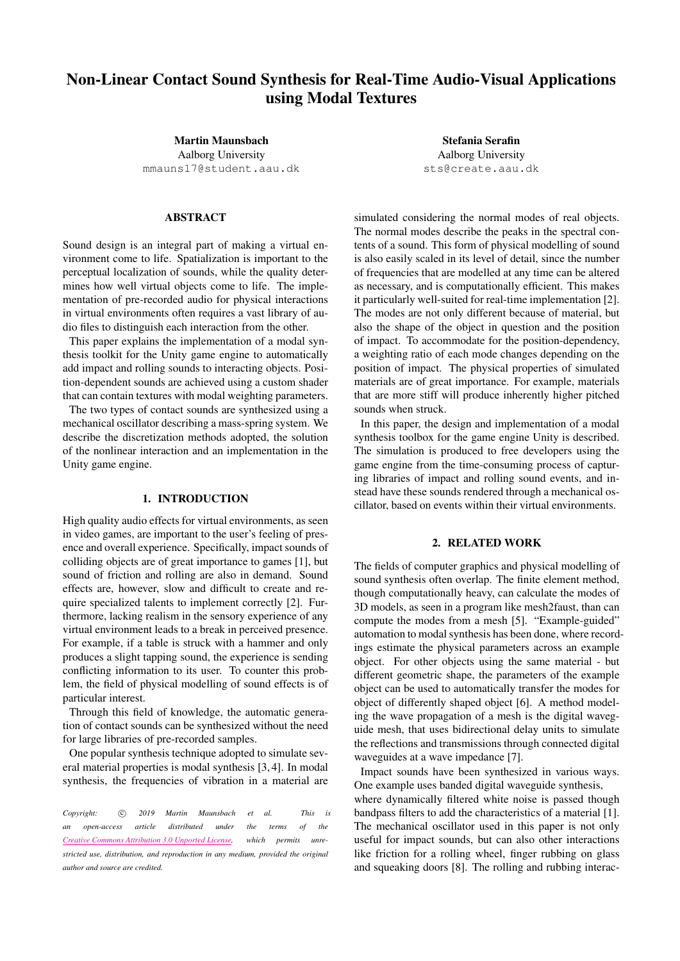# Non-Linear Contact Sound Synthesis for Real-Time Audio-Visual Applications using Modal Textures

Martin Maunsbach Aalborg University [mmauns17@student.aau.dk](mailto:mmauns17@student.aau.dk)

## ABSTRACT

Sound design is an integral part of making a virtual environment come to life. Spatialization is important to the perceptual localization of sounds, while the quality determines how well virtual objects come to life. The implementation of pre-recorded audio for physical interactions in virtual environments often requires a vast library of audio files to distinguish each interaction from the other.

This paper explains the implementation of a modal synthesis toolkit for the Unity game engine to automatically add impact and rolling sounds to interacting objects. Position-dependent sounds are achieved using a custom shader that can contain textures with modal weighting parameters.

The two types of contact sounds are synthesized using a mechanical oscillator describing a mass-spring system. We describe the discretization methods adopted, the solution of the nonlinear interaction and an implementation in the Unity game engine.

### 1. INTRODUCTION

High quality audio effects for virtual environments, as seen in video games, are important to the user's feeling of presence and overall experience. Specifically, impact sounds of colliding objects are of great importance to games [\[1\]](#page-4-0), but sound of friction and rolling are also in demand. Sound effects are, however, slow and difficult to create and require specialized talents to implement correctly [\[2\]](#page-4-1). Furthermore, lacking realism in the sensory experience of any virtual environment leads to a break in perceived presence. For example, if a table is struck with a hammer and only produces a slight tapping sound, the experience is sending conflicting information to its user. To counter this problem, the field of physical modelling of sound effects is of particular interest.

Through this field of knowledge, the automatic generation of contact sounds can be synthesized without the need for large libraries of pre-recorded samples.

One popular synthesis technique adopted to simulate several material properties is modal synthesis [\[3,](#page-4-2) [4\]](#page-4-3). In modal synthesis, the frequencies of vibration in a material are

*Copyright:*  $\circled{c}$  *2019 Martin Maunsbach et al. This is an open-access article distributed under the terms of the Creative Commons [Attribution](http://creativecommons.org/licenses/by/3.0/) 3.0 Unported License, which permits unrestricted use, distribution, and reproduction in any medium, provided the original author and source are credited.*

Stefania Serafin Aalborg University <sts@create.aau.dk>

simulated considering the normal modes of real objects. The normal modes describe the peaks in the spectral contents of a sound. This form of physical modelling of sound is also easily scaled in its level of detail, since the number of frequencies that are modelled at any time can be altered as necessary, and is computationally efficient. This makes it particularly well-suited for real-time implementation [\[2\]](#page-4-1). The modes are not only different because of material, but also the shape of the object in question and the position of impact. To accommodate for the position-dependency, a weighting ratio of each mode changes depending on the position of impact. The physical properties of simulated materials are of great importance. For example, materials that are more stiff will produce inherently higher pitched sounds when struck.

In this paper, the design and implementation of a modal synthesis toolbox for the game engine Unity is described. The simulation is produced to free developers using the game engine from the time-consuming process of capturing libraries of impact and rolling sound events, and instead have these sounds rendered through a mechanical oscillator, based on events within their virtual environments.

### 2. RELATED WORK

The fields of computer graphics and physical modelling of sound synthesis often overlap. The finite element method, though computationally heavy, can calculate the modes of 3D models, as seen in a program like mesh2faust, than can compute the modes from a mesh [\[5\]](#page-4-4). "Example-guided" automation to modal synthesis has been done, where recordings estimate the physical parameters across an example object. For other objects using the same material - but different geometric shape, the parameters of the example object can be used to automatically transfer the modes for object of differently shaped object [\[6\]](#page-4-5). A method modeling the wave propagation of a mesh is the digital waveguide mesh, that uses bidirectional delay units to simulate the reflections and transmissions through connected digital waveguides at a wave impedance [\[7\]](#page-4-6).

Impact sounds have been synthesized in various ways. One example uses banded digital waveguide synthesis,

where dynamically filtered white noise is passed though bandpass filters to add the characteristics of a material [\[1\]](#page-4-0). The mechanical oscillator used in this paper is not only useful for impact sounds, but can also other interactions like friction for a rolling wheel, finger rubbing on glass and squeaking doors [\[8\]](#page-4-7). The rolling and rubbing interac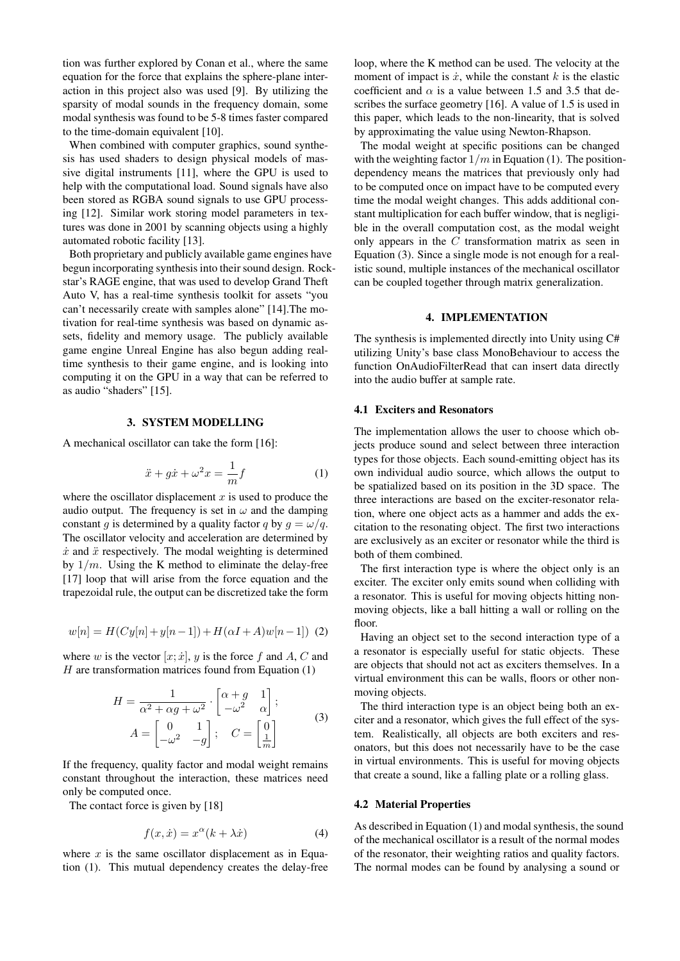tion was further explored by Conan et al., where the same equation for the force that explains the sphere-plane interaction in this project also was used [\[9\]](#page-4-8). By utilizing the sparsity of modal sounds in the frequency domain, some modal synthesis was found to be 5-8 times faster compared to the time-domain equivalent [\[10\]](#page-4-9).

When combined with computer graphics, sound synthesis has used shaders to design physical models of massive digital instruments [\[11\]](#page-4-10), where the GPU is used to help with the computational load. Sound signals have also been stored as RGBA sound signals to use GPU processing [\[12\]](#page-4-11). Similar work storing model parameters in textures was done in 2001 by scanning objects using a highly automated robotic facility [\[13\]](#page-4-12).

Both proprietary and publicly available game engines have begun incorporating synthesis into their sound design. Rockstar's RAGE engine, that was used to develop Grand Theft Auto V, has a real-time synthesis toolkit for assets "you can't necessarily create with samples alone" [\[14\]](#page-5-0).The motivation for real-time synthesis was based on dynamic assets, fidelity and memory usage. The publicly available game engine Unreal Engine has also begun adding realtime synthesis to their game engine, and is looking into computing it on the GPU in a way that can be referred to as audio "shaders" [\[15\]](#page-5-1).

## 3. SYSTEM MODELLING

A mechanical oscillator can take the form [\[16\]](#page-5-2):

<span id="page-1-0"></span>
$$
\ddot{x} + g\dot{x} + \omega^2 x = \frac{1}{m}f\tag{1}
$$

where the oscillator displacement  $x$  is used to produce the audio output. The frequency is set in  $\omega$  and the damping constant g is determined by a quality factor q by  $q = \omega/q$ . The oscillator velocity and acceleration are determined by  $\dot{x}$  and  $\ddot{x}$  respectively. The modal weighting is determined by  $1/m$ . Using the K method to eliminate the delay-free [\[17\]](#page-5-3) loop that will arise from the force equation and the trapezoidal rule, the output can be discretized take the form

<span id="page-1-2"></span>
$$
w[n] = H(Cy[n] + y[n-1]) + H(\alpha I + A)w[n-1]) \tag{2}
$$

where w is the vector  $[x; \dot{x}]$ , y is the force f and A, C and  $H$  are transformation matrices found from Equation  $(1)$ 

$$
H = \frac{1}{\alpha^2 + \alpha g + \omega^2} \cdot \begin{bmatrix} \alpha + g & 1 \\ -\omega^2 & \alpha \end{bmatrix};
$$
  
\n
$$
A = \begin{bmatrix} 0 & 1 \\ -\omega^2 & -g \end{bmatrix}; \quad C = \begin{bmatrix} 0 \\ \frac{1}{m} \end{bmatrix}
$$
 (3)

<span id="page-1-1"></span>If the frequency, quality factor and modal weight remains constant throughout the interaction, these matrices need only be computed once.

The contact force is given by [\[18\]](#page-5-4)

$$
f(x, \dot{x}) = x^{\alpha}(k + \lambda \dot{x}) \tag{4}
$$

where  $x$  is the same oscillator displacement as in Equation [\(1\)](#page-1-0). This mutual dependency creates the delay-free loop, where the K method can be used. The velocity at the moment of impact is  $\dot{x}$ , while the constant k is the elastic coefficient and  $\alpha$  is a value between 1.5 and 3.5 that describes the surface geometry [\[16\]](#page-5-2). A value of 1.5 is used in this paper, which leads to the non-linearity, that is solved by approximating the value using Newton-Rhapson.

The modal weight at specific positions can be changed with the weighting factor  $1/m$  in Equation [\(1\)](#page-1-0). The positiondependency means the matrices that previously only had to be computed once on impact have to be computed every time the modal weight changes. This adds additional constant multiplication for each buffer window, that is negligible in the overall computation cost, as the modal weight only appears in the C transformation matrix as seen in Equation [\(3\)](#page-1-1). Since a single mode is not enough for a realistic sound, multiple instances of the mechanical oscillator can be coupled together through matrix generalization.

## 4. IMPLEMENTATION

The synthesis is implemented directly into Unity using C# utilizing Unity's base class MonoBehaviour to access the function OnAudioFilterRead that can insert data directly into the audio buffer at sample rate.

#### 4.1 Exciters and Resonators

The implementation allows the user to choose which objects produce sound and select between three interaction types for those objects. Each sound-emitting object has its own individual audio source, which allows the output to be spatialized based on its position in the 3D space. The three interactions are based on the exciter-resonator relation, where one object acts as a hammer and adds the excitation to the resonating object. The first two interactions are exclusively as an exciter or resonator while the third is both of them combined.

The first interaction type is where the object only is an exciter. The exciter only emits sound when colliding with a resonator. This is useful for moving objects hitting nonmoving objects, like a ball hitting a wall or rolling on the floor.

Having an object set to the second interaction type of a a resonator is especially useful for static objects. These are objects that should not act as exciters themselves. In a virtual environment this can be walls, floors or other nonmoving objects.

The third interaction type is an object being both an exciter and a resonator, which gives the full effect of the system. Realistically, all objects are both exciters and resonators, but this does not necessarily have to be the case in virtual environments. This is useful for moving objects that create a sound, like a falling plate or a rolling glass.

#### 4.2 Material Properties

As described in Equation [\(1\)](#page-1-0) and modal synthesis, the sound of the mechanical oscillator is a result of the normal modes of the resonator, their weighting ratios and quality factors. The normal modes can be found by analysing a sound or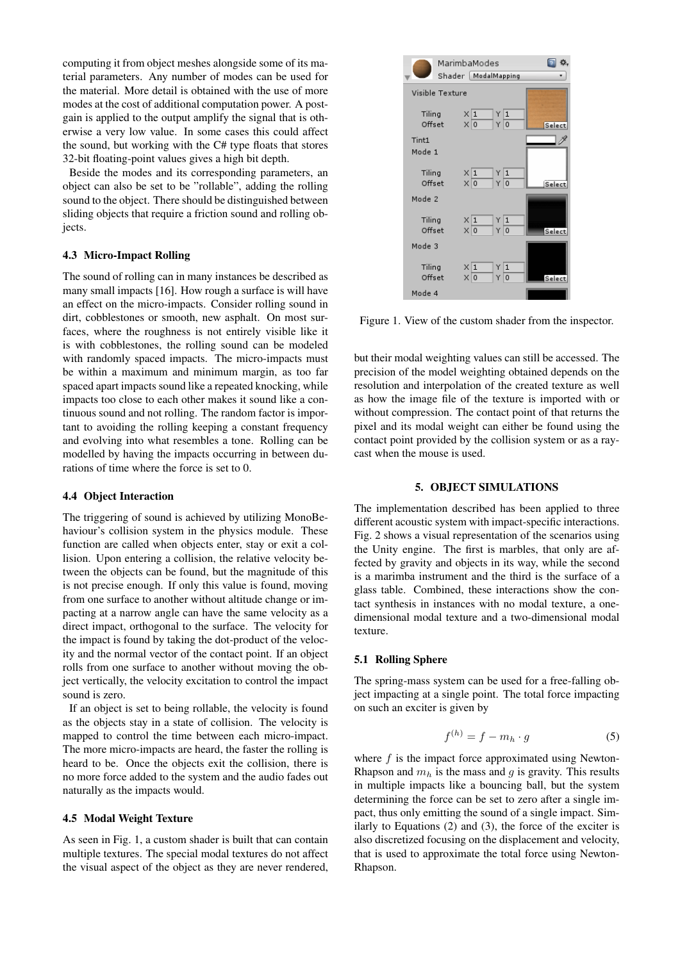computing it from object meshes alongside some of its material parameters. Any number of modes can be used for the material. More detail is obtained with the use of more modes at the cost of additional computation power. A postgain is applied to the output amplify the signal that is otherwise a very low value. In some cases this could affect the sound, but working with the C# type floats that stores 32-bit floating-point values gives a high bit depth.

Beside the modes and its corresponding parameters, an object can also be set to be "rollable", adding the rolling sound to the object. There should be distinguished between sliding objects that require a friction sound and rolling objects.

### 4.3 Micro-Impact Rolling

The sound of rolling can in many instances be described as many small impacts [\[16\]](#page-5-2). How rough a surface is will have an effect on the micro-impacts. Consider rolling sound in dirt, cobblestones or smooth, new asphalt. On most surfaces, where the roughness is not entirely visible like it is with cobblestones, the rolling sound can be modeled with randomly spaced impacts. The micro-impacts must be within a maximum and minimum margin, as too far spaced apart impacts sound like a repeated knocking, while impacts too close to each other makes it sound like a continuous sound and not rolling. The random factor is important to avoiding the rolling keeping a constant frequency and evolving into what resembles a tone. Rolling can be modelled by having the impacts occurring in between durations of time where the force is set to 0.

#### <span id="page-2-1"></span>4.4 Object Interaction

The triggering of sound is achieved by utilizing MonoBehaviour's collision system in the physics module. These function are called when objects enter, stay or exit a collision. Upon entering a collision, the relative velocity between the objects can be found, but the magnitude of this is not precise enough. If only this value is found, moving from one surface to another without altitude change or impacting at a narrow angle can have the same velocity as a direct impact, orthogonal to the surface. The velocity for the impact is found by taking the dot-product of the velocity and the normal vector of the contact point. If an object rolls from one surface to another without moving the object vertically, the velocity excitation to control the impact sound is zero.

If an object is set to being rollable, the velocity is found as the objects stay in a state of collision. The velocity is mapped to control the time between each micro-impact. The more micro-impacts are heard, the faster the rolling is heard to be. Once the objects exit the collision, there is no more force added to the system and the audio fades out naturally as the impacts would.

#### 4.5 Modal Weight Texture

As seen in Fig. [1,](#page-2-0) a custom shader is built that can contain multiple textures. The special modal textures do not affect the visual aspect of the object as they are never rendered,

<span id="page-2-0"></span>

Figure 1. View of the custom shader from the inspector.

but their modal weighting values can still be accessed. The precision of the model weighting obtained depends on the resolution and interpolation of the created texture as well as how the image file of the texture is imported with or without compression. The contact point of that returns the pixel and its modal weight can either be found using the contact point provided by the collision system or as a raycast when the mouse is used.

#### 5. OBJECT SIMULATIONS

The implementation described has been applied to three different acoustic system with impact-specific interactions. Fig. [2](#page-3-0) shows a visual representation of the scenarios using the Unity engine. The first is marbles, that only are affected by gravity and objects in its way, while the second is a marimba instrument and the third is the surface of a glass table. Combined, these interactions show the contact synthesis in instances with no modal texture, a onedimensional modal texture and a two-dimensional modal texture.

#### 5.1 Rolling Sphere

The spring-mass system can be used for a free-falling object impacting at a single point. The total force impacting on such an exciter is given by

$$
f^{(h)} = f - m_h \cdot g \tag{5}
$$

where  $f$  is the impact force approximated using Newton-Rhapson and  $m<sub>b</sub>$  is the mass and q is gravity. This results in multiple impacts like a bouncing ball, but the system determining the force can be set to zero after a single impact, thus only emitting the sound of a single impact. Similarly to Equations [\(2\)](#page-1-2) and [\(3\)](#page-1-1), the force of the exciter is also discretized focusing on the displacement and velocity, that is used to approximate the total force using Newton-Rhapson.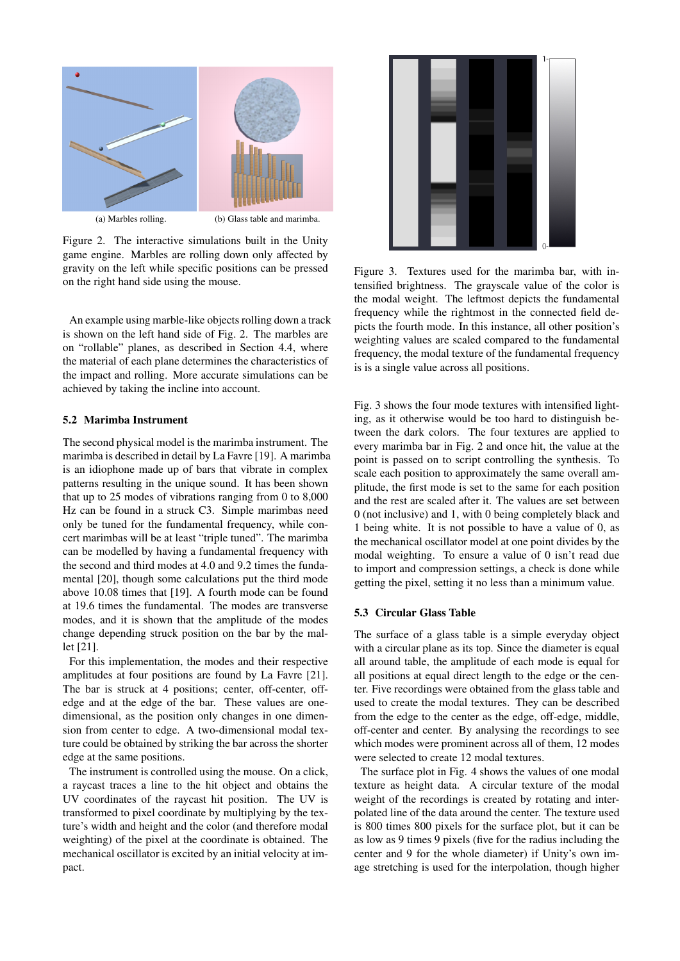<span id="page-3-0"></span>

Figure 2. The interactive simulations built in the Unity game engine. Marbles are rolling down only affected by gravity on the left while specific positions can be pressed on the right hand side using the mouse.

An example using marble-like objects rolling down a track is shown on the left hand side of Fig. [2.](#page-3-0) The marbles are on "rollable" planes, as described in Section [4.4,](#page-2-1) where the material of each plane determines the characteristics of the impact and rolling. More accurate simulations can be achieved by taking the incline into account.

## 5.2 Marimba Instrument

The second physical model is the marimba instrument. The marimba is described in detail by La Favre [\[19\]](#page-5-5). A marimba is an idiophone made up of bars that vibrate in complex patterns resulting in the unique sound. It has been shown that up to 25 modes of vibrations ranging from 0 to 8,000 Hz can be found in a struck C3. Simple marimbas need only be tuned for the fundamental frequency, while concert marimbas will be at least "triple tuned". The marimba can be modelled by having a fundamental frequency with the second and third modes at 4.0 and 9.2 times the fundamental [\[20\]](#page-5-6), though some calculations put the third mode above 10.08 times that [\[19\]](#page-5-5). A fourth mode can be found at 19.6 times the fundamental. The modes are transverse modes, and it is shown that the amplitude of the modes change depending struck position on the bar by the mallet [\[21\]](#page-5-7).

For this implementation, the modes and their respective amplitudes at four positions are found by La Favre [\[21\]](#page-5-7). The bar is struck at 4 positions; center, off-center, offedge and at the edge of the bar. These values are onedimensional, as the position only changes in one dimension from center to edge. A two-dimensional modal texture could be obtained by striking the bar across the shorter edge at the same positions.

The instrument is controlled using the mouse. On a click, a raycast traces a line to the hit object and obtains the UV coordinates of the raycast hit position. The UV is transformed to pixel coordinate by multiplying by the texture's width and height and the color (and therefore modal weighting) of the pixel at the coordinate is obtained. The mechanical oscillator is excited by an initial velocity at impact.

<span id="page-3-1"></span>

Figure 3. Textures used for the marimba bar, with intensified brightness. The grayscale value of the color is the modal weight. The leftmost depicts the fundamental frequency while the rightmost in the connected field depicts the fourth mode. In this instance, all other position's weighting values are scaled compared to the fundamental frequency, the modal texture of the fundamental frequency is is a single value across all positions.

Fig. [3](#page-3-1) shows the four mode textures with intensified lighting, as it otherwise would be too hard to distinguish between the dark colors. The four textures are applied to every marimba bar in Fig. [2](#page-3-0) and once hit, the value at the point is passed on to script controlling the synthesis. To scale each position to approximately the same overall amplitude, the first mode is set to the same for each position and the rest are scaled after it. The values are set between 0 (not inclusive) and 1, with 0 being completely black and 1 being white. It is not possible to have a value of 0, as the mechanical oscillator model at one point divides by the modal weighting. To ensure a value of 0 isn't read due to import and compression settings, a check is done while getting the pixel, setting it no less than a minimum value.

#### 5.3 Circular Glass Table

The surface of a glass table is a simple everyday object with a circular plane as its top. Since the diameter is equal all around table, the amplitude of each mode is equal for all positions at equal direct length to the edge or the center. Five recordings were obtained from the glass table and used to create the modal textures. They can be described from the edge to the center as the edge, off-edge, middle, off-center and center. By analysing the recordings to see which modes were prominent across all of them, 12 modes were selected to create 12 modal textures.

The surface plot in Fig. [4](#page-4-13) shows the values of one modal texture as height data. A circular texture of the modal weight of the recordings is created by rotating and interpolated line of the data around the center. The texture used is 800 times 800 pixels for the surface plot, but it can be as low as 9 times 9 pixels (five for the radius including the center and 9 for the whole diameter) if Unity's own image stretching is used for the interpolation, though higher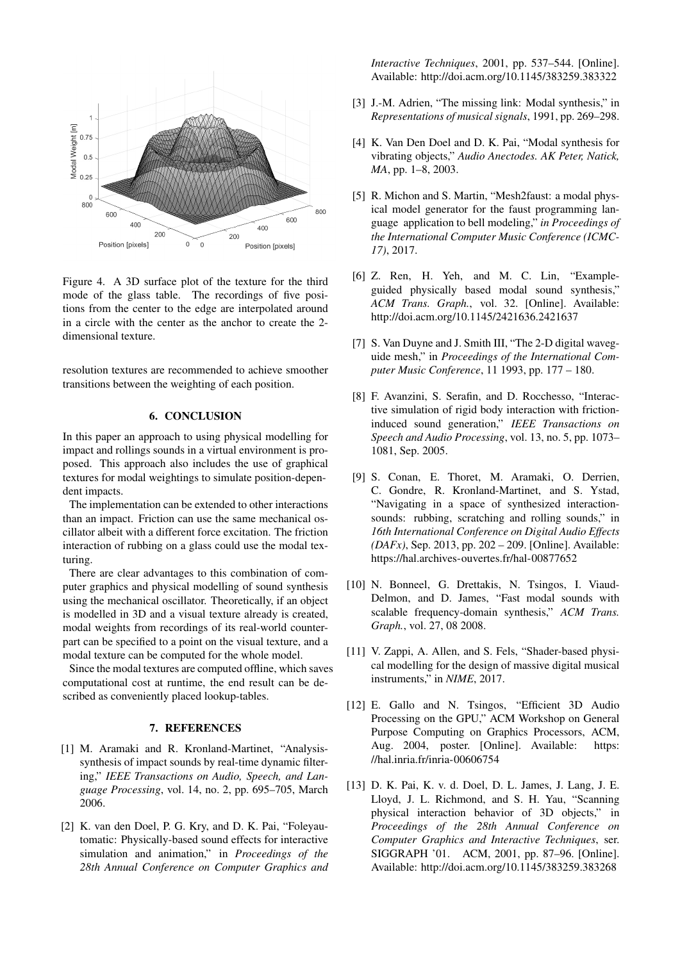<span id="page-4-13"></span>

Figure 4. A 3D surface plot of the texture for the third mode of the glass table. The recordings of five positions from the center to the edge are interpolated around in a circle with the center as the anchor to create the 2 dimensional texture.

resolution textures are recommended to achieve smoother transitions between the weighting of each position.

#### 6. CONCLUSION

In this paper an approach to using physical modelling for impact and rollings sounds in a virtual environment is proposed. This approach also includes the use of graphical textures for modal weightings to simulate position-dependent impacts.

The implementation can be extended to other interactions than an impact. Friction can use the same mechanical oscillator albeit with a different force excitation. The friction interaction of rubbing on a glass could use the modal texturing.

There are clear advantages to this combination of computer graphics and physical modelling of sound synthesis using the mechanical oscillator. Theoretically, if an object is modelled in 3D and a visual texture already is created, modal weights from recordings of its real-world counterpart can be specified to a point on the visual texture, and a modal texture can be computed for the whole model.

Since the modal textures are computed offline, which saves computational cost at runtime, the end result can be described as conveniently placed lookup-tables.

## 7. REFERENCES

- <span id="page-4-0"></span>[1] M. Aramaki and R. Kronland-Martinet, "Analysissynthesis of impact sounds by real-time dynamic filtering," *IEEE Transactions on Audio, Speech, and Language Processing*, vol. 14, no. 2, pp. 695–705, March 2006.
- <span id="page-4-1"></span>[2] K. van den Doel, P. G. Kry, and D. K. Pai, "Foleyautomatic: Physically-based sound effects for interactive simulation and animation," in *Proceedings of the 28th Annual Conference on Computer Graphics and*

*Interactive Techniques*, 2001, pp. 537–544. [Online]. Available: <http://doi.acm.org/10.1145/383259.383322>

- <span id="page-4-2"></span>[3] J.-M. Adrien, "The missing link: Modal synthesis," in *Representations of musical signals*, 1991, pp. 269–298.
- <span id="page-4-3"></span>[4] K. Van Den Doel and D. K. Pai, "Modal synthesis for vibrating objects," *Audio Anectodes. AK Peter, Natick, MA*, pp. 1–8, 2003.
- <span id="page-4-4"></span>[5] R. Michon and S. Martin, "Mesh2faust: a modal physical model generator for the faust programming language application to bell modeling," *in Proceedings of the International Computer Music Conference (ICMC-17)*, 2017.
- <span id="page-4-5"></span>[6] Z. Ren, H. Yeh, and M. C. Lin, "Exampleguided physically based modal sound synthesis," *ACM Trans. Graph.*, vol. 32. [Online]. Available: <http://doi.acm.org/10.1145/2421636.2421637>
- <span id="page-4-6"></span>[7] S. Van Duyne and J. Smith III, "The 2-D digital waveguide mesh," in *Proceedings of the International Computer Music Conference*, 11 1993, pp. 177 – 180.
- <span id="page-4-7"></span>[8] F. Avanzini, S. Serafin, and D. Rocchesso, "Interactive simulation of rigid body interaction with frictioninduced sound generation," *IEEE Transactions on Speech and Audio Processing*, vol. 13, no. 5, pp. 1073– 1081, Sep. 2005.
- <span id="page-4-8"></span>[9] S. Conan, E. Thoret, M. Aramaki, O. Derrien, C. Gondre, R. Kronland-Martinet, and S. Ystad, "Navigating in a space of synthesized interactionsounds: rubbing, scratching and rolling sounds," in *16th International Conference on Digital Audio Effects (DAFx)*, Sep. 2013, pp. 202 – 209. [Online]. Available: <https://hal.archives-ouvertes.fr/hal-00877652>
- <span id="page-4-9"></span>[10] N. Bonneel, G. Drettakis, N. Tsingos, I. Viaud-Delmon, and D. James, "Fast modal sounds with scalable frequency-domain synthesis," *ACM Trans. Graph.*, vol. 27, 08 2008.
- <span id="page-4-10"></span>[11] V. Zappi, A. Allen, and S. Fels, "Shader-based physical modelling for the design of massive digital musical instruments," in *NIME*, 2017.
- <span id="page-4-11"></span>[12] E. Gallo and N. Tsingos, "Efficient 3D Audio Processing on the GPU," ACM Workshop on General Purpose Computing on Graphics Processors, ACM, Aug. 2004, poster. [Online]. Available: [https:](https://hal.inria.fr/inria-00606754) [//hal.inria.fr/inria-00606754](https://hal.inria.fr/inria-00606754)
- <span id="page-4-12"></span>[13] D. K. Pai, K. v. d. Doel, D. L. James, J. Lang, J. E. Lloyd, J. L. Richmond, and S. H. Yau, "Scanning physical interaction behavior of 3D objects," in *Proceedings of the 28th Annual Conference on Computer Graphics and Interactive Techniques*, ser. SIGGRAPH '01. ACM, 2001, pp. 87–96. [Online]. Available: <http://doi.acm.org/10.1145/383259.383268>